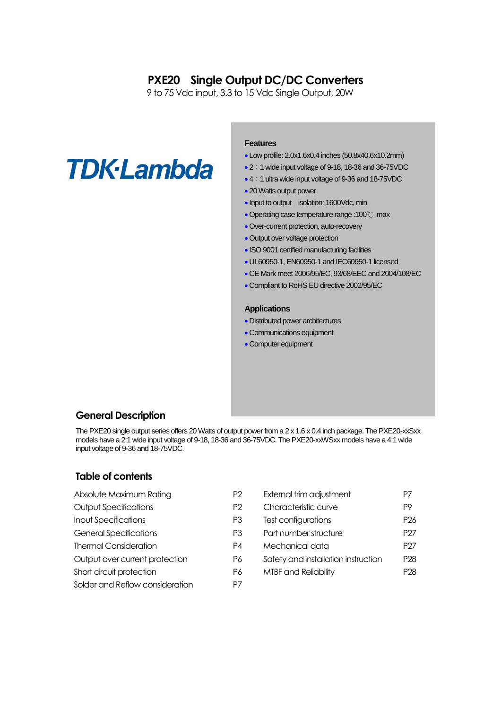# **PXE20 Single Output DC/DC Converters**

9 to 75 Vdc input, 3.3 to 15 Vdc Single Output, 20W

# **TDK-Lambda**

# **Features**

- Low profile: 2.0x1.6x0.4 inches (50.8x40.6x10.2mm)
- 2:1 wide input voltage of 9-18, 18-36 and 36-75VDC
- 4:1 ultra wide input voltage of 9-36 and 18-75VDC
- 20 Watts output power
- Input to output isolation: 1600Vdc, min
- Operating case temperature range :100℃ max
- Over-current protection, auto-recovery
- Output over voltage protection
- ISO 9001 certified manufacturing facilities
- UL60950-1, EN60950-1 and IEC60950-1 licensed
- CE Mark meet 2006/95/EC, 93/68/EEC and 2004/108/EC
- Compliant to RoHS EU directive 2002/95/EC

#### **Applications**

- Distributed power architectures
- Communications equipment
- Computer equipment

# **General Description**

The PXE20 single output series offers 20 Watts of output power from a 2 x 1.6 x 0.4 inch package. The PXE20-xxSxx models have a 2:1 wide input voltage of 9-18, 18-36 and 36-75VDC.The PXE20-xxWSxx models have a 4:1 wide input voltage of 9-36 and 18-75VDC.

# **Table of contents**

| Absolute Maximum Rating         | P <sub>2</sub> | External trim adjustment            | P7             |
|---------------------------------|----------------|-------------------------------------|----------------|
| <b>Output Specifications</b>    | P <sub>2</sub> | Characteristic curve                | P <sub>9</sub> |
| <b>Input Specifications</b>     | P3             | Test configurations                 | P <sub>2</sub> |
| <b>General Specifications</b>   | P3             | Part number structure               | P <sub>2</sub> |
| <b>Thermal Consideration</b>    | P4             | Mechanical data                     | P <sub>2</sub> |
| Output over current protection  | P6             | Safety and installation instruction | P <sub>2</sub> |
| Short circuit protection        | P6             | MTBF and Reliability                | P <sub>2</sub> |
| Solder and Reflow consideration | P7             |                                     |                |

| Absolute Maximum Rating        | P2 | External trim adjustment            | P7              |
|--------------------------------|----|-------------------------------------|-----------------|
| Output Specifications          | P2 | Characteristic curve                | P9              |
| <b>Input Specifications</b>    | P3 | Test configurations                 | P <sub>26</sub> |
| <b>General Specifications</b>  | P3 | Part number structure               | P <sub>27</sub> |
| <b>Thermal Consideration</b>   | P4 | Mechanical data                     | P <sub>27</sub> |
| Output over current protection | P6 | Safety and installation instruction | P <sub>28</sub> |
| Short circuit protection       | P6 | <b>MTBF and Reliability</b>         | P <sub>28</sub> |
|                                |    |                                     |                 |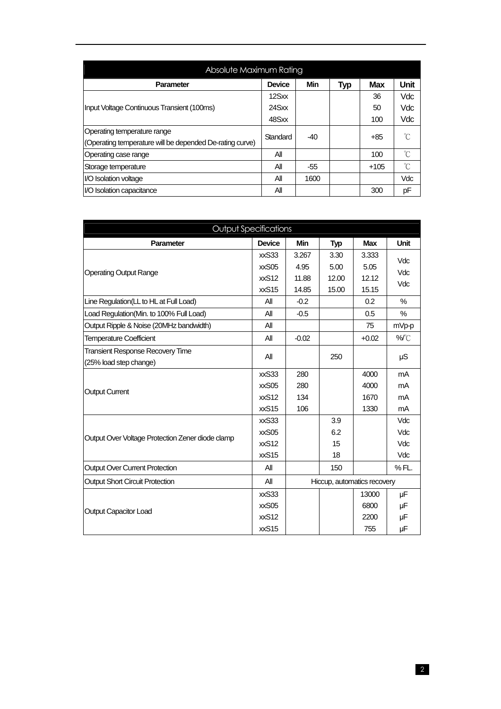| Absolute Maximum Rating                                  |               |       |     |            |      |  |  |  |  |  |
|----------------------------------------------------------|---------------|-------|-----|------------|------|--|--|--|--|--|
| <b>Parameter</b>                                         | <b>Device</b> | Min   | Typ | <b>Max</b> | Unit |  |  |  |  |  |
|                                                          | 12Sxx         |       |     | 36         | Vdc  |  |  |  |  |  |
| Input Voltage Continuous Transient (100ms)               | 24Sxx         |       |     | 50         | Vdc  |  |  |  |  |  |
|                                                          | 48Sxx         |       |     | 100        | Vdc  |  |  |  |  |  |
| Operating temperature range                              | Standard      | $-40$ |     | $+85$      | °C   |  |  |  |  |  |
| (Operating temperature will be depended De-rating curve) |               |       |     |            |      |  |  |  |  |  |
| Operating case range                                     | All           |       |     | 100        | °C   |  |  |  |  |  |
| Storage temperature                                      | All           | -55   |     | $+105$     | °C   |  |  |  |  |  |
| I/O Isolation voltage                                    | All           | 1600  |     |            | Vdc  |  |  |  |  |  |
| I/O Isolation capacitance                                | ΑIΙ           |       |     | 300        | pF   |  |  |  |  |  |

| <b>Output Specifications</b>                                      |                                              |                          |                        |                              |                           |
|-------------------------------------------------------------------|----------------------------------------------|--------------------------|------------------------|------------------------------|---------------------------|
| Parameter                                                         | <b>Device</b>                                | <b>Min</b>               | <b>Typ</b>             | <b>Max</b>                   | <b>Unit</b>               |
| <b>Operating Output Range</b>                                     | xxS <sub>33</sub><br>xxS05<br>xxS12          | 3.267<br>4.95<br>11.88   | 3.30<br>5.00<br>12.00  | 3.333<br>5.05<br>12.12       | Vdc<br>Vdc                |
|                                                                   | xxS15                                        | 14.85                    | 15.00                  | 15.15                        | Vdc                       |
| Line Regulation(LL to HL at Full Load)                            | All                                          | $-0.2$                   |                        | 0.2                          | %                         |
| Load Regulation(Min. to 100% Full Load)                           | All                                          | $-0.5$                   |                        | 0.5                          | %                         |
| Output Ripple & Noise (20MHz bandwidth)                           | All                                          |                          |                        | 75                           | mVp-p                     |
| <b>Temperature Coefficient</b>                                    | All                                          | $-0.02$                  |                        | $+0.02$                      | %C                        |
| <b>Transient Response Recovery Time</b><br>(25% load step change) | All                                          |                          | 250                    |                              | μS                        |
| <b>Output Current</b>                                             | xxS <sub>33</sub><br>xxS05<br>xxS12<br>xxS15 | 280<br>280<br>134<br>106 |                        | 4000<br>4000<br>1670<br>1330 | mA<br>mA<br>mA<br>mA      |
| Output Over Voltage Protection Zener diode clamp                  | xxS33<br>xxS05<br>xxS12<br>xxS15             |                          | 3.9<br>6.2<br>15<br>18 |                              | Vdc<br>Vdc<br>Vdc<br>Vdc  |
| <b>Output Over Current Protection</b>                             | All                                          |                          | 150                    |                              | % FL.                     |
| <b>Output Short Circuit Protection</b>                            | All                                          |                          |                        | Hiccup, automatics recovery  |                           |
| <b>Output Capacitor Load</b>                                      | xxS33<br>xxS05<br>xxS12<br>xxS15             |                          |                        | 13000<br>6800<br>2200<br>755 | μF<br>μF<br>$\mu$ F<br>μF |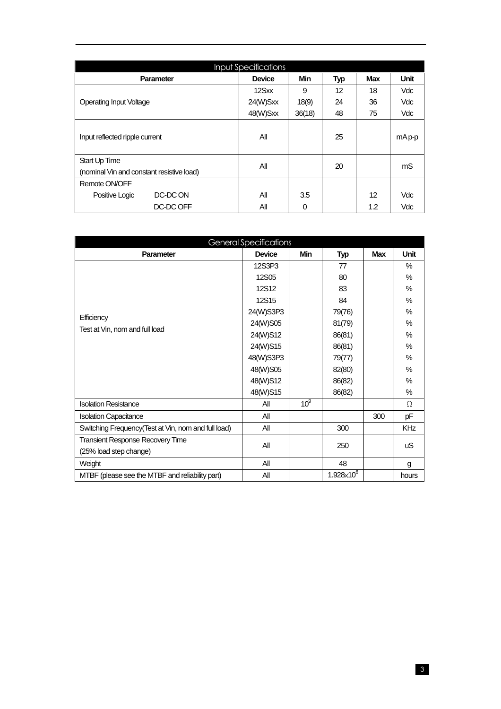|                                           | <b>Input Specifications</b> |            |            |            |             |
|-------------------------------------------|-----------------------------|------------|------------|------------|-------------|
| <b>Parameter</b>                          | <b>Device</b>               | <b>Min</b> | <b>Typ</b> | <b>Max</b> | <b>Unit</b> |
|                                           | 12Sxx                       | 9          | 12         | 18         | <b>Vdc</b>  |
| <b>Operating Input Voltage</b>            | 24(W)Sxx                    | 18(9)      | 24         | 36         | <b>Vdc</b>  |
|                                           | 48(W)Sxx                    | 36(18)     | 48         | 75         | <b>Vdc</b>  |
| Input reflected ripple current            | All                         |            | 25         |            | mAp-p       |
| Start Up Time                             | All                         |            | 20         |            | mS          |
| (nominal Vin and constant resistive load) |                             |            |            |            |             |
| Remote ON/OFF                             |                             |            |            |            |             |
| DC-DC ON<br>Positive Logic                | All                         | 3.5        |            | 12         | Vdc         |
| DC-DC OFF                                 | Αll                         | 0          |            | 1.2        | Vdc         |

|                                                     | <b>General Specifications</b> |                 |                     |     |       |
|-----------------------------------------------------|-------------------------------|-----------------|---------------------|-----|-------|
| <b>Parameter</b>                                    | <b>Device</b>                 | <b>Min</b>      | <b>Typ</b>          | Max | Unit  |
|                                                     | 12S3P3                        |                 | 77                  |     | %     |
|                                                     | 12S05                         |                 | 80                  |     | $\%$  |
|                                                     | <b>12S12</b>                  |                 | 83                  |     | $\%$  |
|                                                     | <b>12S15</b>                  |                 | 84                  |     | $\%$  |
|                                                     | 24(W)S3P3                     |                 | 79(76)              |     | $\%$  |
| Efficiency<br>Test at Vin, nom and full load        | 24(W)S05                      |                 | 81(79)              |     | $\%$  |
|                                                     | 24(W)S12                      |                 | 86(81)              |     | $\%$  |
|                                                     | 24(W)S15                      |                 | 86(81)              |     | $\%$  |
|                                                     | 48(W)S3P3                     |                 | 79(77)              |     | $\%$  |
|                                                     | 48(W)S05                      |                 | 82(80)              |     | $\%$  |
|                                                     | 48(W)S12                      |                 | 86(82)              |     | $\%$  |
|                                                     | 48(W)S15                      |                 | 86(82)              |     | $\%$  |
| <b>Isolation Resistance</b>                         | All                           | 10 <sup>9</sup> |                     |     | Ω     |
| <b>Isolation Capacitance</b>                        | All                           |                 |                     | 300 | pF    |
| Switching Frequency(Test at Vin, nom and full load) | All                           |                 | 300                 |     | KHz   |
| <b>Transient Response Recovery Time</b>             | All                           |                 |                     |     |       |
| (25% load step change)                              |                               |                 | 250                 |     | uS    |
| Weight                                              | All                           |                 | 48                  |     | g     |
| MTBF (please see the MTBF and reliability part)     | All                           |                 | $1.928\times10^{6}$ |     | hours |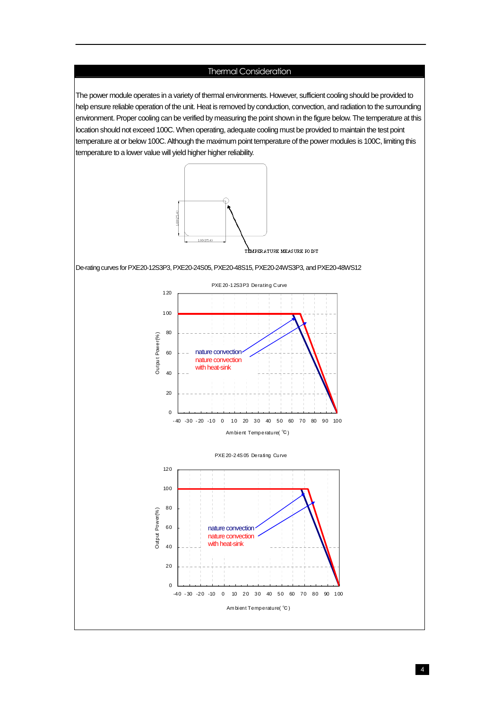# Thermal Consideration

The power module operates in a variety of thermal environments. However, sufficient cooling should be provided to help ensure reliable operation of the unit. Heat is removed by conduction, convection, and radiation to the surrounding environment. Proper cooling can be verified by measuring the point shown in the figure below. The temperature at this location should not exceed 100C. When operating, adequate cooling must be provided to maintain the test point temperature at or below 100C.Although the maximum point temperature of the power modules is 100C, limiting this temperature to a lower value will yield higher higher reliability.



De-rating curves for PXE20-12S3P3, PXE20-24S05, PXE20-48S15, PXE20-24WS3P3, and PXE20-48WS12

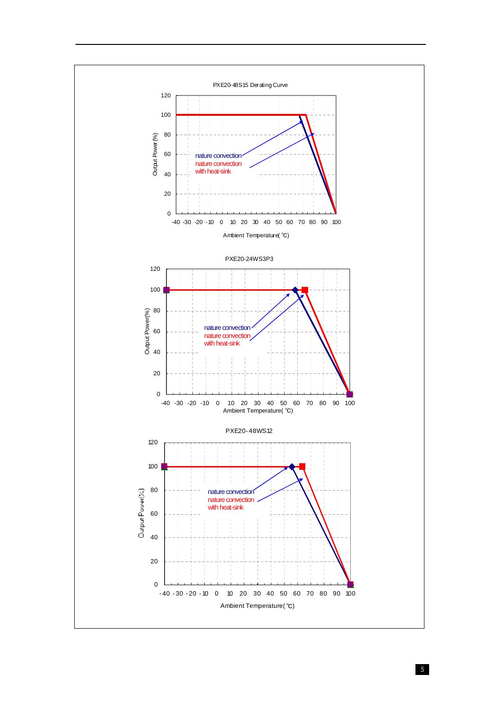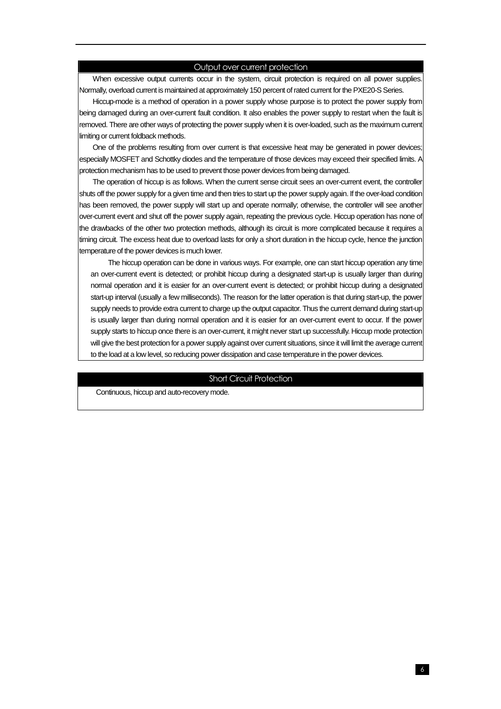#### Output over current protection

When excessive output currents occur in the system, circuit protection is required on all power supplies. Normally, overload current is maintained at approximately 150 percent of rated current for the PXE20-S Series.

Hiccup-mode is a method of operation in a power supply whose purpose is to protect the power supply from being damaged during an over-current fault condition. It also enables the power supply to restart when the fault is removed. There are other ways of protecting the power supply when it is over-loaded, such as the maximum current limiting or current foldback methods.

One of the problems resulting from over current is that excessive heat may be generated in power devices; especially MOSFET and Schottky diodes and the temperature of those devices may exceed their specified limits. A protection mechanism has to be used to prevent those power devices from being damaged.

The operation of hiccup is as follows. When the current sense circuit sees an over-current event, the controller shuts off the power supply for a given time and then tries to start up the power supply again. If the over-load condition has been removed, the power supply will start up and operate normally; otherwise, the controller will see another over-current event and shut off the power supply again, repeating the previous cycle. Hiccup operation has none of the drawbacks of the other two protection methods, although its circuit is more complicated because it requires a timing circuit. The excess heat due to overload lasts for only a short duration in the hiccup cycle, hence the junction temperature of the power devices is much lower.

The hiccup operation can be done in various ways. For example, one can start hiccup operation any time an over-current event is detected; or prohibit hiccup during a designated start-up is usually larger than during normal operation and it is easier for an over-current event is detected; or prohibit hiccup during a designated start-up interval (usually a few milliseconds). The reason for the latter operation is that during start-up, the power supply needs to provide extra current to charge up the output capacitor. Thus the current demand during start-up is usually larger than during normal operation and it is easier for an over-current event to occur. If the power supply starts to hiccup once there is an over-current, it might never start up successfully. Hiccup mode protection will give the best protection for a power supply against over current situations, since it will limit the average current to the load at a low level, so reducing power dissipation and case temperature in the power devices.

#### Short Circuit Protection

Continuous, hiccup and auto-recovery mode.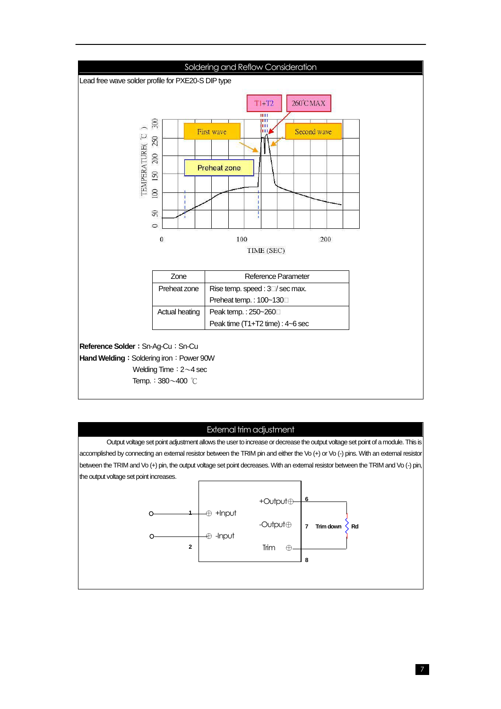

# External trim adjustment

Output voltage set point adjustment allows the user to increase or decrease the output voltage set point of a module. This is accomplished by connecting an external resistor between the TRIM pin and either the Vo (+) or Vo (-) pins. With an external resistor between the TRIM and Vo (+) pin, the output voltage set point decreases. With an external resistor between the TRIM and Vo (-) pin, the output voltage set point increases.

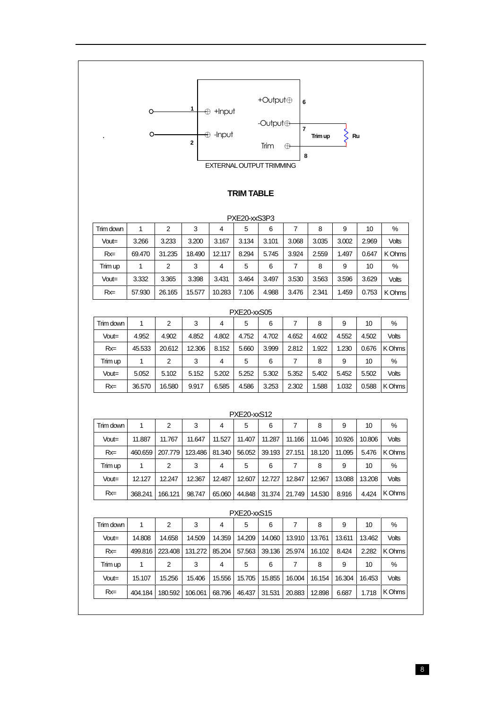

# **TRIM TABLE**

|           | PXE20-xxS3P3 |        |        |        |       |       |       |       |       |       |              |  |  |
|-----------|--------------|--------|--------|--------|-------|-------|-------|-------|-------|-------|--------------|--|--|
| Trim down |              | 2      | 3      | 4      | 5     | 6     |       | 8     | 9     | 10    | %            |  |  |
| Vout=     | 3.266        | 3.233  | 3.200  | 3.167  | 3.134 | 3.101 | 3.068 | 3.035 | 3.002 | 2.969 | <b>Volts</b> |  |  |
| $Rx =$    | 69.470       | 31.235 | 18.490 | 12.117 | 8.294 | 5.745 | 3.924 | 2.559 | 1.497 | 0.647 | K Ohms       |  |  |
| Trim up   |              | 2      | 3      | 4      | 5     | 6     |       | 8     | 9     | 10    | %            |  |  |
| Vout=     | 3.332        | 3.365  | 3.398  | 3.431  | 3.464 | 3.497 | 3.530 | 3.563 | 3.596 | 3.629 | <b>Volts</b> |  |  |
| $Rx =$    | 57.930       | 26.165 | 15.577 | 10.283 | 7.106 | 4.988 | 3.476 | 2.341 | 1.459 | 0.753 | K Ohms       |  |  |

|           | PXE20-xxS05 |        |        |       |       |       |       |       |       |       |              |  |  |
|-----------|-------------|--------|--------|-------|-------|-------|-------|-------|-------|-------|--------------|--|--|
| Trim down |             | 2      | 3      | 4     | 5     | 6     |       | 8     | 9     | 10    | %            |  |  |
| Vout=     | 4.952       | 4.902  | 4.852  | 4.802 | 4.752 | 4.702 | 4.652 | 4.602 | 4.552 | 4.502 | <b>Volts</b> |  |  |
| $Rx =$    | 45.533      | 20.612 | 12.306 | 8.152 | 5.660 | 3.999 | 2.812 | 1.922 | 1.230 | 0.676 | K Ohms       |  |  |
| Trim up   |             | 2      | 3      | 4     | 5     | 6     | 7     | 8     | 9     | 10    | %            |  |  |
| Vout=     | 5.052       | 5.102  | 5.152  | 5.202 | 5.252 | 5.302 | 5.352 | 5.402 | 5.452 | 5.502 | <b>Volts</b> |  |  |
| $Rx =$    | 36.570      | 16.580 | 9.917  | 6.585 | 4.586 | 3.253 | 2.302 | 1.588 | 1.032 | 0.588 | K Ohms       |  |  |

|           | <b>PXE20-xxS12</b> |         |         |        |        |        |        |        |        |        |              |  |  |
|-----------|--------------------|---------|---------|--------|--------|--------|--------|--------|--------|--------|--------------|--|--|
| Trim down |                    | 2       | 3       | 4      | 5      | 6      | 7      | 8      | 9      | 10     | %            |  |  |
| Vout=     | 11.887             | 11.767  | 11.647  | 11.527 | 11.407 | 11.287 | 11.166 | 11.046 | 10.926 | 10.806 | <b>Volts</b> |  |  |
| $Rx =$    | 460.659            | 207.779 | 123.486 | 81.340 | 56.052 | 39.193 | 27.151 | 18.120 | 11.095 | 5.476  | K Ohms       |  |  |
| Trim up   |                    | 2       | 3       | 4      | 5      | 6      | 7      | 8      | 9      | 10     | $\%$         |  |  |
| Vout=     | 12.127             | 12.247  | 12.367  | 12.487 | 12.607 | 12.727 | 12.847 | 12.967 | 13.088 | 13.208 | <b>Volts</b> |  |  |
| $Rx =$    | 368.241            | 166.121 | 98.747  | 65.060 | 44.848 | 31.374 | 21.749 | 14.530 | 8.916  | 4.424  | K Ohms       |  |  |

|           | PAEZU-XXO I O |         |         |        |        |        |        |        |        |        |              |  |  |
|-----------|---------------|---------|---------|--------|--------|--------|--------|--------|--------|--------|--------------|--|--|
| Trim down |               | 2       | 3       | 4      | 5      | 6      |        | 8      | 9      | 10     | %            |  |  |
| $Vout =$  | 14.808        | 14.658  | 14.509  | 14.359 | 14.209 | 14.060 | 13.910 | 13.761 | 13.611 | 13.462 | <b>Volts</b> |  |  |
| $Rx =$    | 499.816       | 223,408 | 131.272 | 85.204 | 57.563 | 39.136 | 25.974 | 16.102 | 8.424  | 2.282  | K Ohms       |  |  |
| Trim up   |               | 2       | 3       | 4      | 5      | 6      | 7      | 8      | 9      | 10     | $\%$         |  |  |
| Vout=     | 15.107        | 15.256  | 15.406  | 15.556 | 15.705 | 15.855 | 16.004 | 16.154 | 16.304 | 16.453 | <b>Volts</b> |  |  |
| $Rx =$    | 404.184       | 180.592 | 106.061 | 68.796 | 46.437 | 31.531 | 20.883 | 12.898 | 6.687  | 1.718  | K Ohms       |  |  |

#### PXE20-xxS15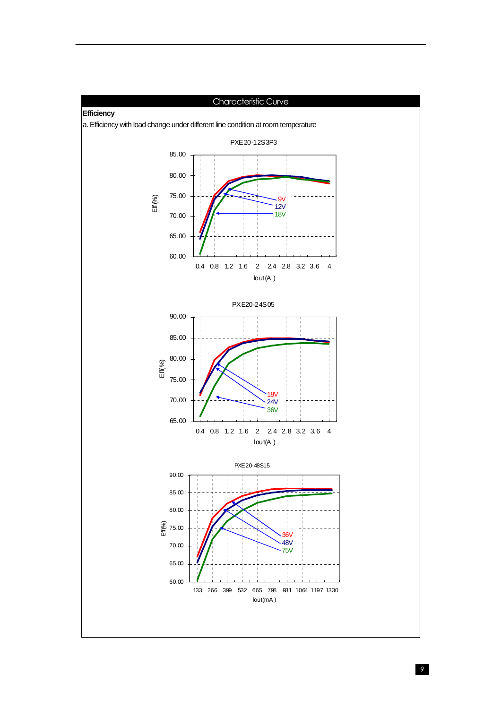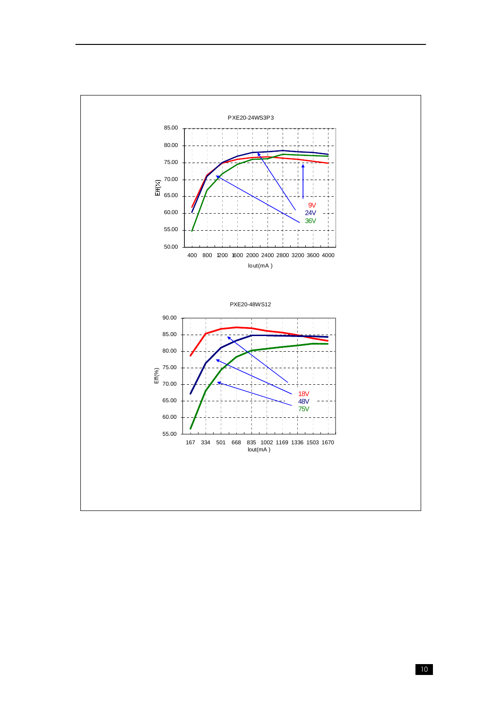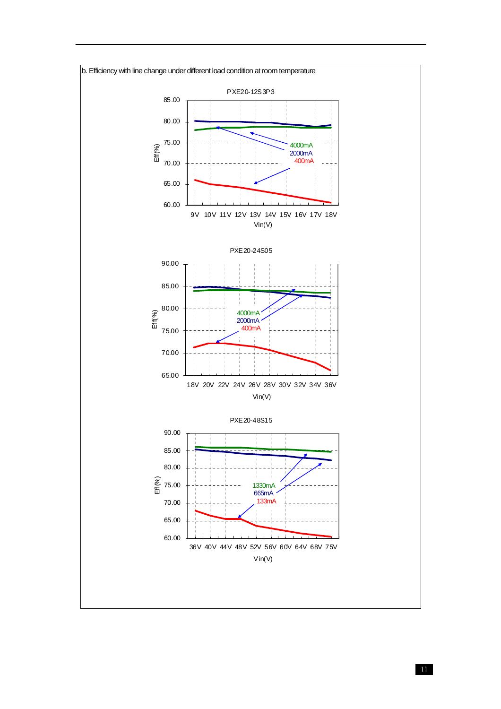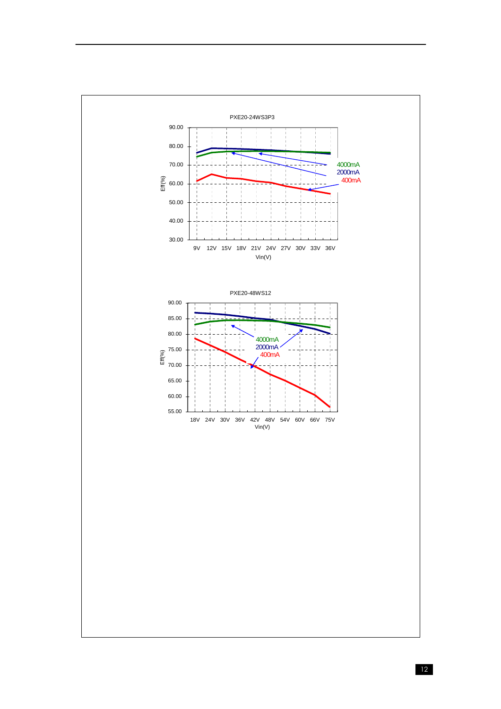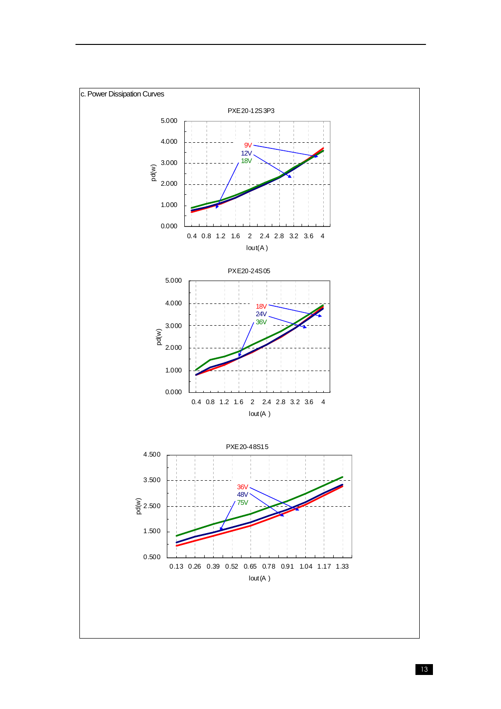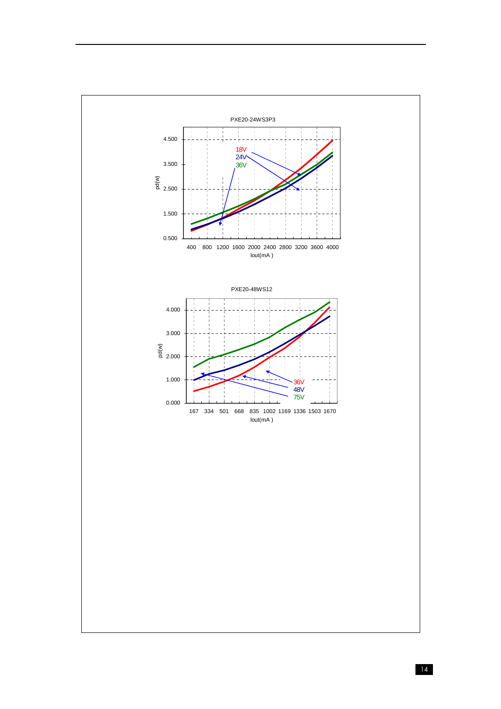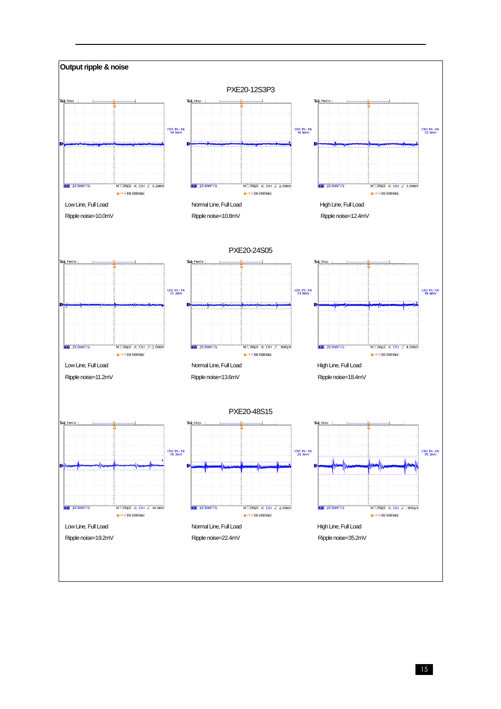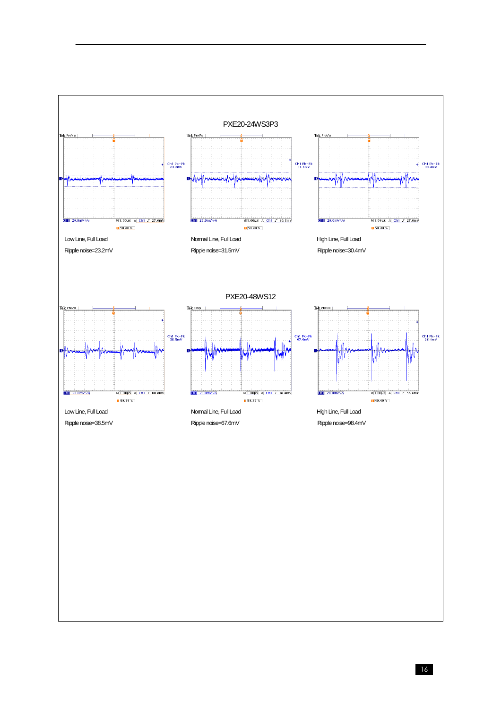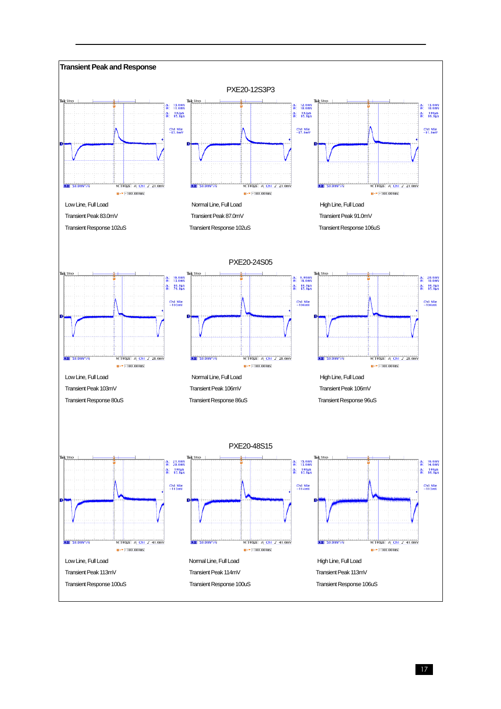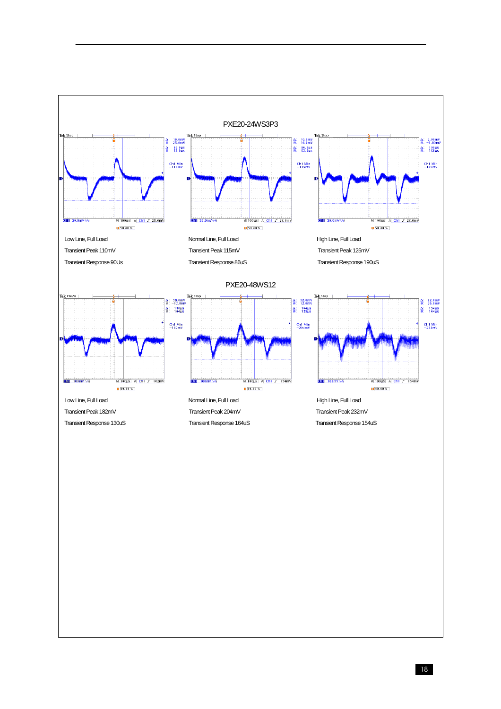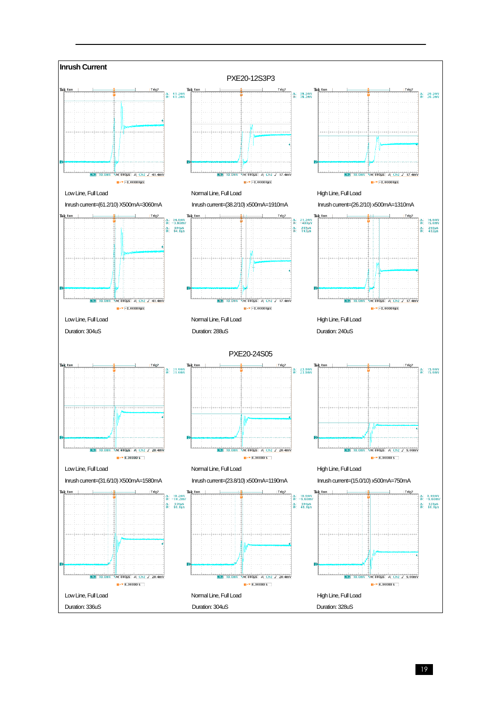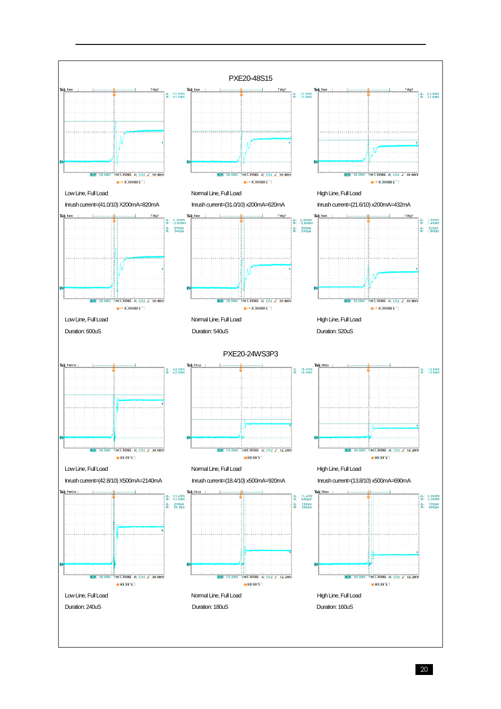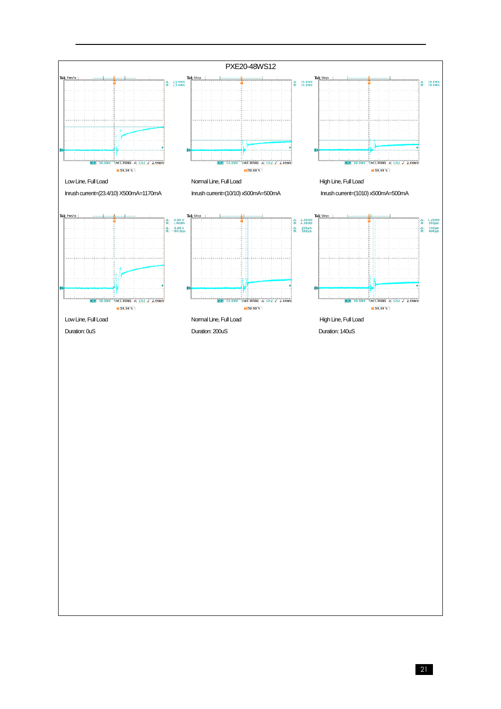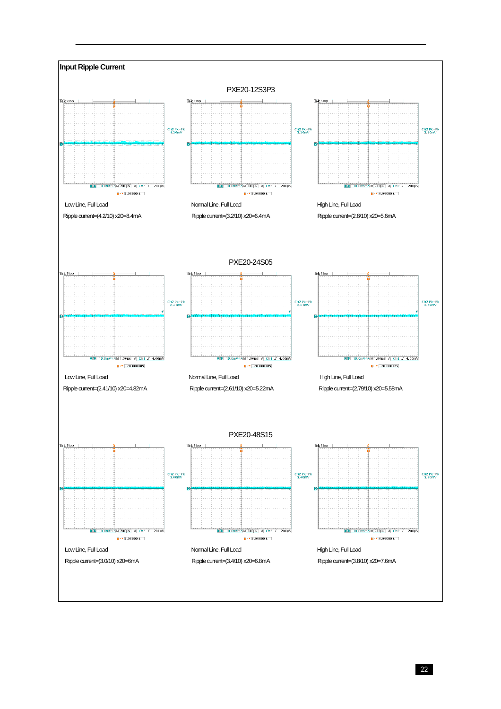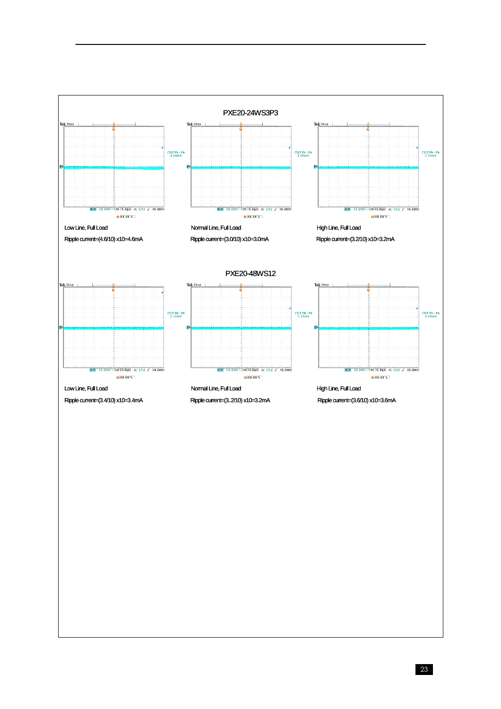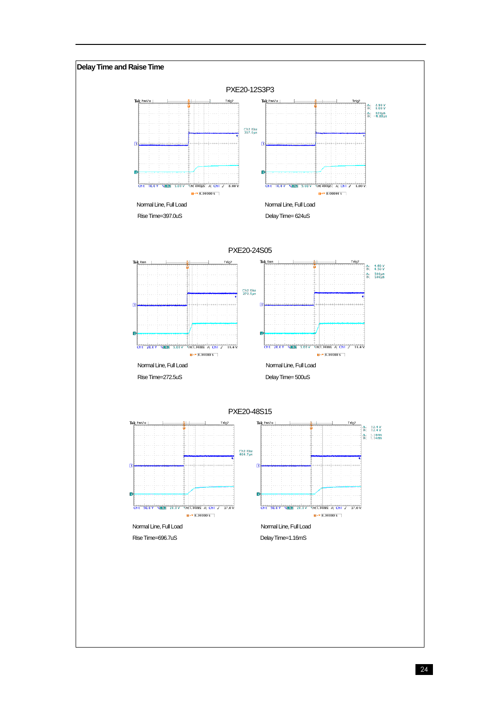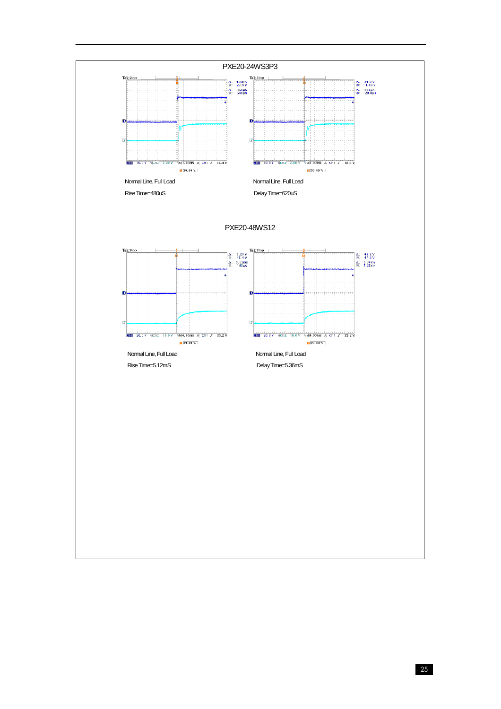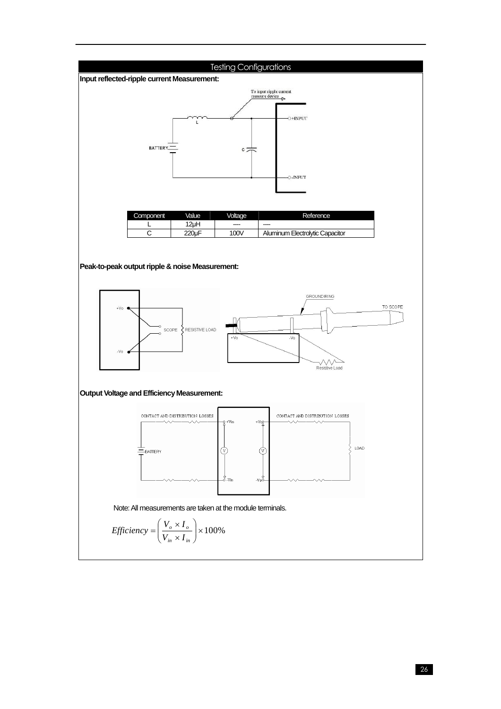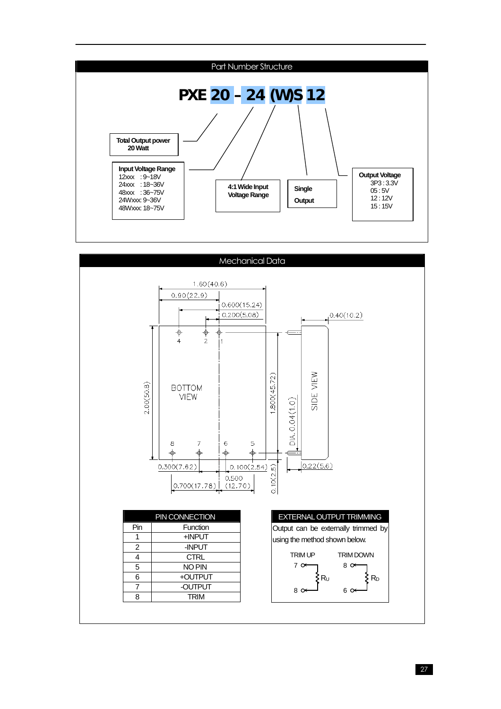